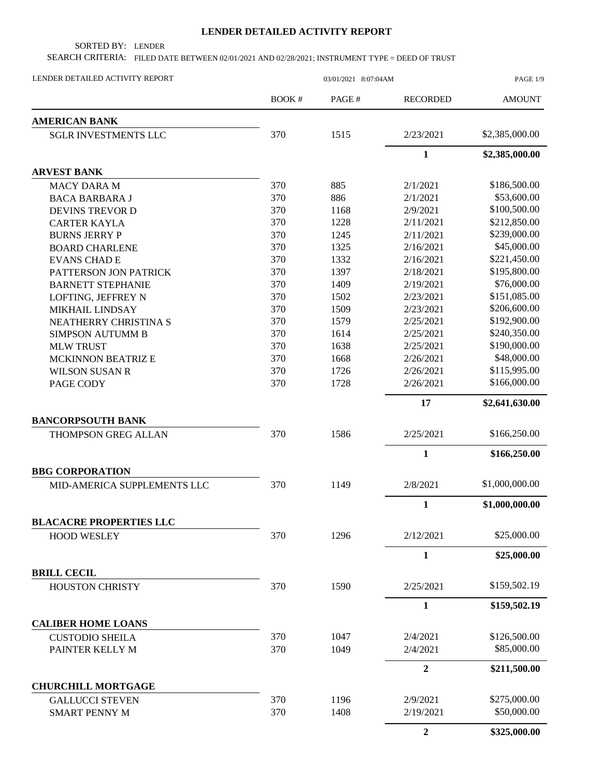## **LENDER DETAILED ACTIVITY REPORT**

SORTED BY: LENDER

SEARCH CRITERIA: FILED DATE BETWEEN 02/01/2021 AND 02/28/2021; INSTRUMENT TYPE = DEED OF TRUST

| LENDER DETAILED ACTIVITY REPORT              | 03/01/2021 8:07:04AM |       |                  | PAGE 1/9       |  |
|----------------------------------------------|----------------------|-------|------------------|----------------|--|
|                                              | BOOK #               | PAGE# | <b>RECORDED</b>  | <b>AMOUNT</b>  |  |
| <b>AMERICAN BANK</b>                         |                      |       |                  |                |  |
| <b>SGLR INVESTMENTS LLC</b>                  | 370                  | 1515  | 2/23/2021        | \$2,385,000.00 |  |
|                                              |                      |       | $\mathbf{1}$     | \$2,385,000.00 |  |
| <b>ARVEST BANK</b>                           |                      |       |                  |                |  |
| <b>MACY DARA M</b>                           | 370                  | 885   | 2/1/2021         | \$186,500.00   |  |
| <b>BACA BARBARA J</b>                        | 370                  | 886   | 2/1/2021         | \$53,600.00    |  |
| <b>DEVINS TREVOR D</b>                       | 370                  | 1168  | 2/9/2021         | \$100,500.00   |  |
| <b>CARTER KAYLA</b>                          | 370                  | 1228  | 2/11/2021        | \$212,850.00   |  |
| <b>BURNS JERRY P</b>                         | 370                  | 1245  | 2/11/2021        | \$239,000.00   |  |
| <b>BOARD CHARLENE</b>                        | 370                  | 1325  | 2/16/2021        | \$45,000.00    |  |
| <b>EVANS CHAD E</b>                          | 370                  | 1332  | 2/16/2021        | \$221,450.00   |  |
| PATTERSON JON PATRICK                        | 370                  | 1397  | 2/18/2021        | \$195,800.00   |  |
| <b>BARNETT STEPHANIE</b>                     | 370                  | 1409  | 2/19/2021        | \$76,000.00    |  |
| LOFTING, JEFFREY N                           | 370                  | 1502  | 2/23/2021        | \$151,085.00   |  |
| <b>MIKHAIL LINDSAY</b>                       | 370                  | 1509  | 2/23/2021        | \$206,600.00   |  |
| NEATHERRY CHRISTINA S                        | 370                  | 1579  | 2/25/2021        | \$192,900.00   |  |
| <b>SIMPSON AUTUMM B</b>                      | 370                  | 1614  | 2/25/2021        | \$240,350.00   |  |
| <b>MLW TRUST</b>                             | 370                  | 1638  | 2/25/2021        | \$190,000.00   |  |
| <b>MCKINNON BEATRIZ E</b>                    | 370                  | 1668  | 2/26/2021        | \$48,000.00    |  |
| <b>WILSON SUSAN R</b>                        | 370                  | 1726  | 2/26/2021        | \$115,995.00   |  |
| PAGE CODY                                    | 370                  | 1728  | 2/26/2021        | \$166,000.00   |  |
|                                              |                      |       | 17               | \$2,641,630.00 |  |
| <b>BANCORPSOUTH BANK</b>                     |                      |       |                  |                |  |
| THOMPSON GREG ALLAN                          | 370                  | 1586  | 2/25/2021        | \$166,250.00   |  |
|                                              |                      |       | $\mathbf{1}$     | \$166,250.00   |  |
| <b>BBG CORPORATION</b>                       |                      |       |                  |                |  |
| MID-AMERICA SUPPLEMENTS LLC                  | 370                  | 1149  | 2/8/2021         | \$1,000,000.00 |  |
|                                              |                      |       | $\mathbf{1}$     | \$1,000,000.00 |  |
| <b>BLACACRE PROPERTIES LLC</b>               |                      |       |                  |                |  |
| <b>HOOD WESLEY</b>                           | 370                  | 1296  | 2/12/2021        | \$25,000.00    |  |
|                                              |                      |       | $\mathbf{1}$     | \$25,000.00    |  |
| <b>BRILL CECIL</b><br><b>HOUSTON CHRISTY</b> | 370                  | 1590  | 2/25/2021        | \$159,502.19   |  |
|                                              |                      |       | $\mathbf{1}$     | \$159,502.19   |  |
| <b>CALIBER HOME LOANS</b>                    |                      |       |                  |                |  |
| <b>CUSTODIO SHEILA</b>                       | 370                  | 1047  | 2/4/2021         | \$126,500.00   |  |
| PAINTER KELLY M                              | 370                  | 1049  | 2/4/2021         | \$85,000.00    |  |
|                                              |                      |       | $\boldsymbol{2}$ | \$211,500.00   |  |
| <b>CHURCHILL MORTGAGE</b>                    |                      |       |                  |                |  |
| <b>GALLUCCI STEVEN</b>                       | 370                  | 1196  | 2/9/2021         | \$275,000.00   |  |
| <b>SMART PENNY M</b>                         | 370                  | 1408  | 2/19/2021        | \$50,000.00    |  |
|                                              |                      |       | $\boldsymbol{2}$ | \$325,000.00   |  |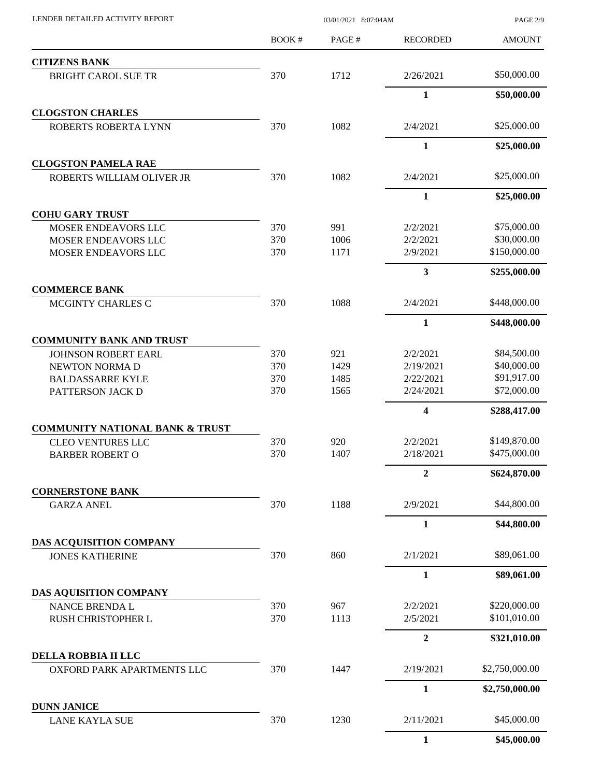| LENDER DETAILED ACTIVITY REPORT              | 03/01/2021 8:07:04AM |       |                  | PAGE 2/9       |
|----------------------------------------------|----------------------|-------|------------------|----------------|
|                                              | <b>BOOK#</b>         | PAGE# | <b>RECORDED</b>  | <b>AMOUNT</b>  |
| <b>CITIZENS BANK</b>                         |                      |       |                  |                |
| <b>BRIGHT CAROL SUE TR</b>                   | 370                  | 1712  | 2/26/2021        | \$50,000.00    |
|                                              |                      |       | $\mathbf{1}$     | \$50,000.00    |
| <b>CLOGSTON CHARLES</b>                      |                      |       |                  |                |
| ROBERTS ROBERTA LYNN                         | 370                  | 1082  | 2/4/2021         | \$25,000.00    |
| <b>CLOGSTON PAMELA RAE</b>                   |                      |       | $\mathbf{1}$     | \$25,000.00    |
| ROBERTS WILLIAM OLIVER JR                    | 370                  | 1082  | 2/4/2021         | \$25,000.00    |
|                                              |                      |       | 1                | \$25,000.00    |
| <b>COHU GARY TRUST</b>                       |                      |       |                  |                |
| MOSER ENDEAVORS LLC                          | 370                  | 991   | 2/2/2021         | \$75,000.00    |
| MOSER ENDEAVORS LLC                          | 370                  | 1006  | 2/2/2021         | \$30,000.00    |
| MOSER ENDEAVORS LLC                          | 370                  | 1171  | 2/9/2021         | \$150,000.00   |
|                                              |                      |       | 3                | \$255,000.00   |
| <b>COMMERCE BANK</b><br>MCGINTY CHARLES C    | 370                  | 1088  | 2/4/2021         | \$448,000.00   |
|                                              |                      |       | $\mathbf{1}$     | \$448,000.00   |
| <b>COMMUNITY BANK AND TRUST</b>              |                      |       |                  |                |
| <b>JOHNSON ROBERT EARL</b>                   | 370                  | 921   | 2/2/2021         | \$84,500.00    |
| NEWTON NORMA D                               | 370                  | 1429  | 2/19/2021        | \$40,000.00    |
| <b>BALDASSARRE KYLE</b>                      | 370                  | 1485  | 2/22/2021        | \$91,917.00    |
| PATTERSON JACK D                             | 370                  | 1565  | 2/24/2021        | \$72,000.00    |
|                                              |                      |       | 4                | \$288,417.00   |
| <b>COMMUNITY NATIONAL BANK &amp; TRUST</b>   |                      |       |                  |                |
| <b>CLEO VENTURES LLC</b>                     | 370                  | 920   | 2/2/2021         | \$149,870.00   |
| <b>BARBER ROBERT O</b>                       | 370                  | 1407  | 2/18/2021        | \$475,000.00   |
|                                              |                      |       | $\boldsymbol{2}$ | \$624,870.00   |
| <b>CORNERSTONE BANK</b><br><b>GARZA ANEL</b> | 370                  | 1188  | 2/9/2021         | \$44,800.00    |
|                                              |                      |       | $\mathbf{1}$     | \$44,800.00    |
| DAS ACQUISITION COMPANY                      |                      |       |                  |                |
| <b>JONES KATHERINE</b>                       | 370                  | 860   | 2/1/2021         | \$89,061.00    |
|                                              |                      |       | $\mathbf{1}$     | \$89,061.00    |
| DAS AQUISITION COMPANY                       |                      |       |                  |                |
| NANCE BRENDA L                               | 370                  | 967   | 2/2/2021         | \$220,000.00   |
| RUSH CHRISTOPHER L                           | 370                  | 1113  | 2/5/2021         | \$101,010.00   |
|                                              |                      |       | $\overline{2}$   | \$321,010.00   |
| DELLA ROBBIA II LLC                          |                      |       |                  |                |
| OXFORD PARK APARTMENTS LLC                   | 370                  | 1447  | 2/19/2021        | \$2,750,000.00 |
|                                              |                      |       | $\mathbf{1}$     | \$2,750,000.00 |
| <b>DUNN JANICE</b><br><b>LANE KAYLA SUE</b>  | 370                  | 1230  | 2/11/2021        | \$45,000.00    |
|                                              |                      |       | 1                | \$45,000.00    |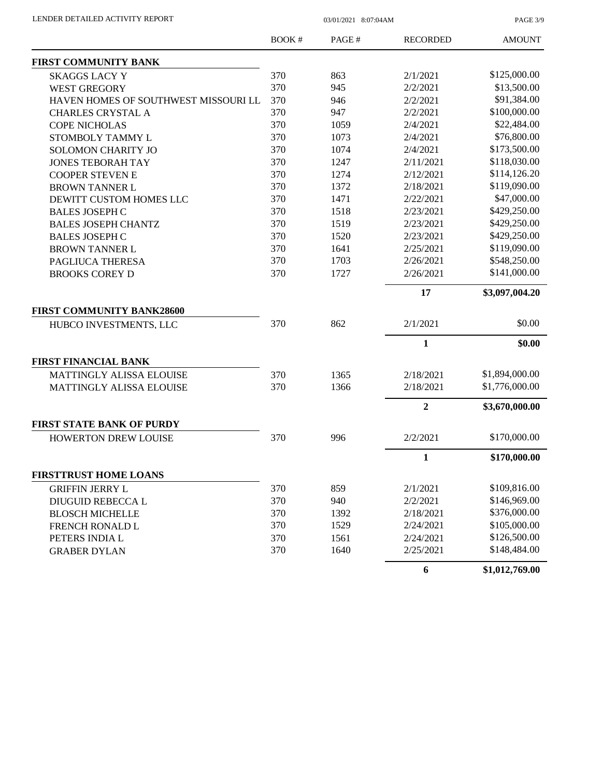PAGE 3/9

|                                      | BOOK# | PAGE# | <b>RECORDED</b> | <b>AMOUNT</b>  |
|--------------------------------------|-------|-------|-----------------|----------------|
| <b>FIRST COMMUNITY BANK</b>          |       |       |                 |                |
| <b>SKAGGS LACY Y</b>                 | 370   | 863   | 2/1/2021        | \$125,000.00   |
| <b>WEST GREGORY</b>                  | 370   | 945   | 2/2/2021        | \$13,500.00    |
| HAVEN HOMES OF SOUTHWEST MISSOURI LL | 370   | 946   | 2/2/2021        | \$91,384.00    |
| <b>CHARLES CRYSTAL A</b>             | 370   | 947   | 2/2/2021        | \$100,000.00   |
| <b>COPE NICHOLAS</b>                 | 370   | 1059  | 2/4/2021        | \$22,484.00    |
| STOMBOLY TAMMY L                     | 370   | 1073  | 2/4/2021        | \$76,800.00    |
| SOLOMON CHARITY JO                   | 370   | 1074  | 2/4/2021        | \$173,500.00   |
| <b>JONES TEBORAH TAY</b>             | 370   | 1247  | 2/11/2021       | \$118,030.00   |
| <b>COOPER STEVEN E</b>               | 370   | 1274  | 2/12/2021       | \$114,126.20   |
| <b>BROWN TANNER L</b>                | 370   | 1372  | 2/18/2021       | \$119,090.00   |
| DEWITT CUSTOM HOMES LLC              | 370   | 1471  | 2/22/2021       | \$47,000.00    |
| <b>BALES JOSEPH C</b>                | 370   | 1518  | 2/23/2021       | \$429,250.00   |
| <b>BALES JOSEPH CHANTZ</b>           | 370   | 1519  | 2/23/2021       | \$429,250.00   |
| <b>BALES JOSEPH C</b>                | 370   | 1520  | 2/23/2021       | \$429,250.00   |
| <b>BROWN TANNER L</b>                | 370   | 1641  | 2/25/2021       | \$119,090.00   |
| PAGLIUCA THERESA                     | 370   | 1703  | 2/26/2021       | \$548,250.00   |
| <b>BROOKS COREY D</b>                | 370   | 1727  | 2/26/2021       | \$141,000.00   |
|                                      |       |       | 17              | \$3,097,004.20 |
| <b>FIRST COMMUNITY BANK28600</b>     |       |       |                 |                |
| HUBCO INVESTMENTS, LLC               | 370   | 862   | 2/1/2021        | \$0.00         |
|                                      |       |       | 1               | \$0.00         |
| <b>FIRST FINANCIAL BANK</b>          |       |       |                 |                |
| <b>MATTINGLY ALISSA ELOUISE</b>      | 370   | 1365  | 2/18/2021       | \$1,894,000.00 |
| MATTINGLY ALISSA ELOUISE             | 370   | 1366  | 2/18/2021       | \$1,776,000.00 |
|                                      |       |       | $\overline{2}$  | \$3,670,000.00 |
| <b>FIRST STATE BANK OF PURDY</b>     |       |       |                 |                |
| <b>HOWERTON DREW LOUISE</b>          | 370   | 996   | 2/2/2021        | \$170,000.00   |
|                                      |       |       | 1               | \$170,000.00   |
| <b>FIRSTTRUST HOME LOANS</b>         |       |       |                 |                |
| <b>GRIFFIN JERRY L</b>               | 370   | 859   | 2/1/2021        | \$109,816.00   |
| DIUGUID REBECCA L                    | 370   | 940   | 2/2/2021        | \$146,969.00   |
| <b>BLOSCH MICHELLE</b>               | 370   | 1392  | 2/18/2021       | \$376,000.00   |
| FRENCH RONALD L                      | 370   | 1529  | 2/24/2021       | \$105,000.00   |
| PETERS INDIA L                       | 370   | 1561  | 2/24/2021       | \$126,500.00   |
| <b>GRABER DYLAN</b>                  | 370   | 1640  | 2/25/2021       | \$148,484.00   |
|                                      |       |       | 6               | \$1,012,769.00 |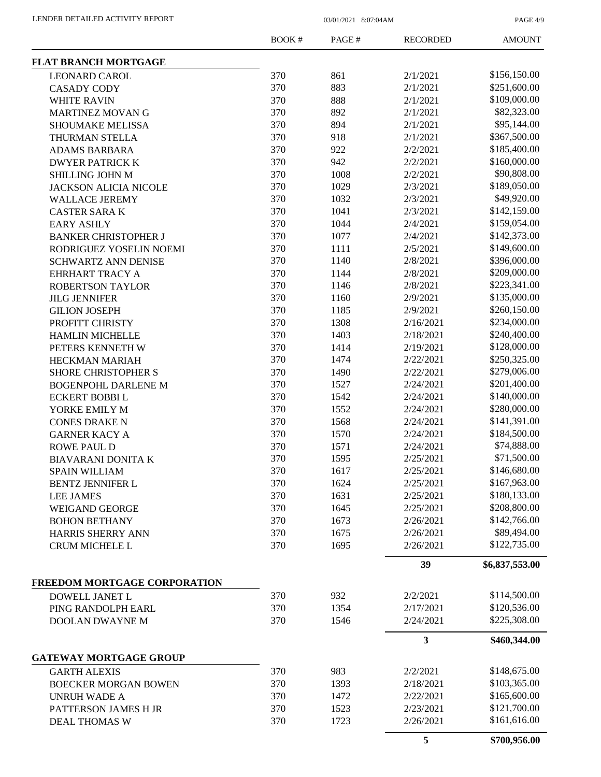PAGE 4/9

|                               | <b>BOOK#</b> | PAGE# | <b>RECORDED</b> | <b>AMOUNT</b>  |
|-------------------------------|--------------|-------|-----------------|----------------|
| <b>FLAT BRANCH MORTGAGE</b>   |              |       |                 |                |
| <b>LEONARD CAROL</b>          | 370          | 861   | 2/1/2021        | \$156,150.00   |
| <b>CASADY CODY</b>            | 370          | 883   | 2/1/2021        | \$251,600.00   |
| <b>WHITE RAVIN</b>            | 370          | 888   | 2/1/2021        | \$109,000.00   |
| <b>MARTINEZ MOVAN G</b>       | 370          | 892   | 2/1/2021        | \$82,323.00    |
| <b>SHOUMAKE MELISSA</b>       | 370          | 894   | 2/1/2021        | \$95,144.00    |
| THURMAN STELLA                | 370          | 918   | 2/1/2021        | \$367,500.00   |
| <b>ADAMS BARBARA</b>          | 370          | 922   | 2/2/2021        | \$185,400.00   |
| <b>DWYER PATRICK K</b>        | 370          | 942   | 2/2/2021        | \$160,000.00   |
| SHILLING JOHN M               | 370          | 1008  | 2/2/2021        | \$90,808.00    |
| <b>JACKSON ALICIA NICOLE</b>  | 370          | 1029  | 2/3/2021        | \$189,050.00   |
| <b>WALLACE JEREMY</b>         | 370          | 1032  | 2/3/2021        | \$49,920.00    |
| <b>CASTER SARAK</b>           | 370          | 1041  | 2/3/2021        | \$142,159.00   |
| <b>EARY ASHLY</b>             | 370          | 1044  | 2/4/2021        | \$159,054.00   |
| <b>BANKER CHRISTOPHER J</b>   | 370          | 1077  | 2/4/2021        | \$142,373.00   |
| RODRIGUEZ YOSELIN NOEMI       | 370          | 1111  | 2/5/2021        | \$149,600.00   |
| <b>SCHWARTZ ANN DENISE</b>    | 370          | 1140  | 2/8/2021        | \$396,000.00   |
| <b>EHRHART TRACY A</b>        | 370          | 1144  | 2/8/2021        | \$209,000.00   |
| <b>ROBERTSON TAYLOR</b>       | 370          | 1146  | 2/8/2021        | \$223,341.00   |
| <b>JILG JENNIFER</b>          | 370          | 1160  | 2/9/2021        | \$135,000.00   |
| <b>GILION JOSEPH</b>          | 370          | 1185  | 2/9/2021        | \$260,150.00   |
| PROFITT CHRISTY               | 370          | 1308  | 2/16/2021       | \$234,000.00   |
| <b>HAMLIN MICHELLE</b>        | 370          | 1403  | 2/18/2021       | \$240,400.00   |
| PETERS KENNETH W              | 370          | 1414  | 2/19/2021       | \$128,000.00   |
| <b>HECKMAN MARIAH</b>         | 370          | 1474  | 2/22/2021       | \$250,325.00   |
| <b>SHORE CHRISTOPHER S</b>    | 370          | 1490  | 2/22/2021       | \$279,006.00   |
| <b>BOGENPOHL DARLENE M</b>    | 370          | 1527  | 2/24/2021       | \$201,400.00   |
| <b>ECKERT BOBBIL</b>          | 370          | 1542  | 2/24/2021       | \$140,000.00   |
| YORKE EMILY M                 | 370          | 1552  | 2/24/2021       | \$280,000.00   |
| <b>CONES DRAKE N</b>          | 370          | 1568  | 2/24/2021       | \$141,391.00   |
|                               | 370          | 1570  | 2/24/2021       | \$184,500.00   |
| <b>GARNER KACY A</b>          | 370          | 1571  | 2/24/2021       | \$74,888.00    |
| <b>ROWE PAUL D</b>            | 370          | 1595  | 2/25/2021       | \$71,500.00    |
| <b>BIAVARANI DONITA K</b>     |              |       |                 | \$146,680.00   |
| <b>SPAIN WILLIAM</b>          | 370          | 1617  | 2/25/2021       |                |
| BENTZ JENNIFER L              | 370          | 1624  | 2/25/2021       | \$167,963.00   |
| <b>LEE JAMES</b>              | 370          | 1631  | 2/25/2021       | \$180,133.00   |
| <b>WEIGAND GEORGE</b>         | 370          | 1645  | 2/25/2021       | \$208,800.00   |
| <b>BOHON BETHANY</b>          | 370          | 1673  | 2/26/2021       | \$142,766.00   |
| <b>HARRIS SHERRY ANN</b>      | 370          | 1675  | 2/26/2021       | \$89,494.00    |
| <b>CRUM MICHELE L</b>         | 370          | 1695  | 2/26/2021       | \$122,735.00   |
|                               |              |       | 39              | \$6,837,553.00 |
| FREEDOM MORTGAGE CORPORATION  |              |       |                 |                |
| DOWELL JANET L                | 370          | 932   | 2/2/2021        | \$114,500.00   |
| PING RANDOLPH EARL            | 370          | 1354  | 2/17/2021       | \$120,536.00   |
| DOOLAN DWAYNE M               | 370          | 1546  | 2/24/2021       | \$225,308.00   |
|                               |              |       | 3               | \$460,344.00   |
| <b>GATEWAY MORTGAGE GROUP</b> |              |       |                 |                |
| <b>GARTH ALEXIS</b>           | 370          | 983   | 2/2/2021        | \$148,675.00   |
| <b>BOECKER MORGAN BOWEN</b>   | 370          | 1393  | 2/18/2021       | \$103,365.00   |
| <b>UNRUH WADE A</b>           | 370          | 1472  | 2/22/2021       | \$165,600.00   |
| PATTERSON JAMES H JR          | 370          | 1523  | 2/23/2021       | \$121,700.00   |
| <b>DEAL THOMAS W</b>          | 370          | 1723  | 2/26/2021       | \$161,616.00   |
|                               |              |       | 5               | \$700,956.00   |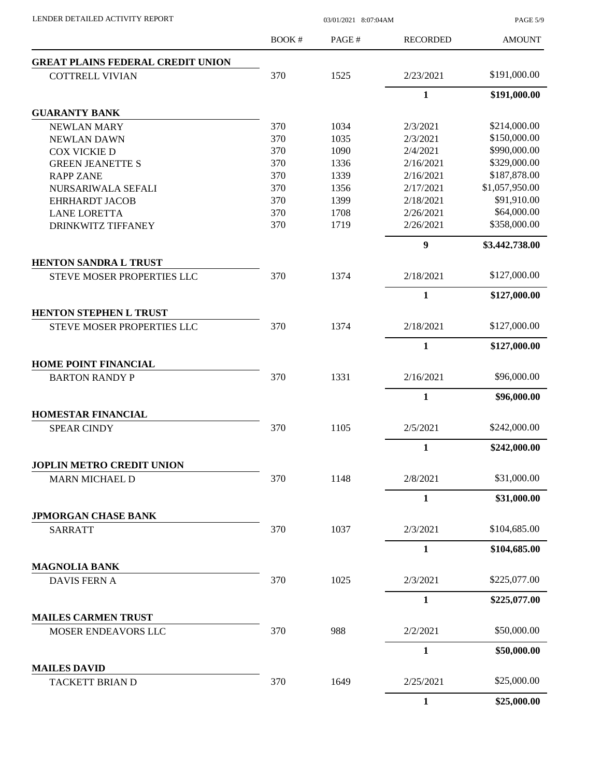PAGE 5/9

|                                                      | <b>BOOK#</b> | PAGE# | <b>RECORDED</b>  | <b>AMOUNT</b>  |
|------------------------------------------------------|--------------|-------|------------------|----------------|
| <b>GREAT PLAINS FEDERAL CREDIT UNION</b>             |              |       |                  |                |
| <b>COTTRELL VIVIAN</b>                               | 370          | 1525  | 2/23/2021        | \$191,000.00   |
|                                                      |              |       | $\mathbf{1}$     | \$191,000.00   |
| <b>GUARANTY BANK</b>                                 |              |       |                  |                |
| <b>NEWLAN MARY</b>                                   | 370          | 1034  | 2/3/2021         | \$214,000.00   |
| <b>NEWLAN DAWN</b>                                   | 370          | 1035  | 2/3/2021         | \$150,000.00   |
| <b>COX VICKIE D</b>                                  | 370          | 1090  | 2/4/2021         | \$990,000.00   |
| <b>GREEN JEANETTE S</b>                              | 370          | 1336  | 2/16/2021        | \$329,000.00   |
| <b>RAPP ZANE</b>                                     | 370          | 1339  | 2/16/2021        | \$187,878.00   |
| NURSARIWALA SEFALI                                   | 370          | 1356  | 2/17/2021        | \$1,057,950.00 |
| <b>EHRHARDT JACOB</b>                                | 370          | 1399  | 2/18/2021        | \$91,910.00    |
| <b>LANE LORETTA</b>                                  | 370          | 1708  | 2/26/2021        | \$64,000.00    |
| DRINKWITZ TIFFANEY                                   | 370          | 1719  | 2/26/2021        | \$358,000.00   |
|                                                      |              |       | $\boldsymbol{9}$ | \$3,442,738.00 |
| <b>HENTON SANDRA L TRUST</b>                         |              |       |                  |                |
| STEVE MOSER PROPERTIES LLC                           | 370          | 1374  | 2/18/2021        | \$127,000.00   |
|                                                      |              |       | $\mathbf{1}$     | \$127,000.00   |
| HENTON STEPHEN L TRUST                               |              |       |                  |                |
| STEVE MOSER PROPERTIES LLC                           | 370          | 1374  | 2/18/2021        | \$127,000.00   |
|                                                      |              |       | $\mathbf{1}$     | \$127,000.00   |
| <b>HOME POINT FINANCIAL</b><br><b>BARTON RANDY P</b> | 370          | 1331  | 2/16/2021        | \$96,000.00    |
|                                                      |              |       | $\mathbf{1}$     |                |
| <b>HOMESTAR FINANCIAL</b>                            |              |       |                  | \$96,000.00    |
| <b>SPEAR CINDY</b>                                   | 370          | 1105  | 2/5/2021         | \$242,000.00   |
|                                                      |              |       | $\mathbf{1}$     | \$242,000.00   |
| JOPLIN METRO CREDIT UNION                            |              |       |                  |                |
| MARN MICHAEL D                                       | 370          | 1148  | 2/8/2021         | \$31,000.00    |
|                                                      |              |       | $\mathbf{1}$     | \$31,000.00    |
| <b>JPMORGAN CHASE BANK</b>                           |              |       |                  |                |
| <b>SARRATT</b>                                       | 370          | 1037  | 2/3/2021         | \$104,685.00   |
|                                                      |              |       | $\mathbf{1}$     | \$104,685.00   |
| <b>MAGNOLIA BANK</b>                                 |              |       |                  |                |
| <b>DAVIS FERN A</b>                                  | 370          | 1025  | 2/3/2021         | \$225,077.00   |
|                                                      |              |       | $\mathbf{1}$     | \$225,077.00   |
| <b>MAILES CARMEN TRUST</b>                           |              |       |                  |                |
| MOSER ENDEAVORS LLC                                  | 370          | 988   | 2/2/2021         | \$50,000.00    |
|                                                      |              |       | $\mathbf{1}$     | \$50,000.00    |
| <b>MAILES DAVID</b><br>TACKETT BRIAN D               | 370          | 1649  | 2/25/2021        | \$25,000.00    |
|                                                      |              |       |                  |                |
|                                                      |              |       | $\mathbf{1}$     | \$25,000.00    |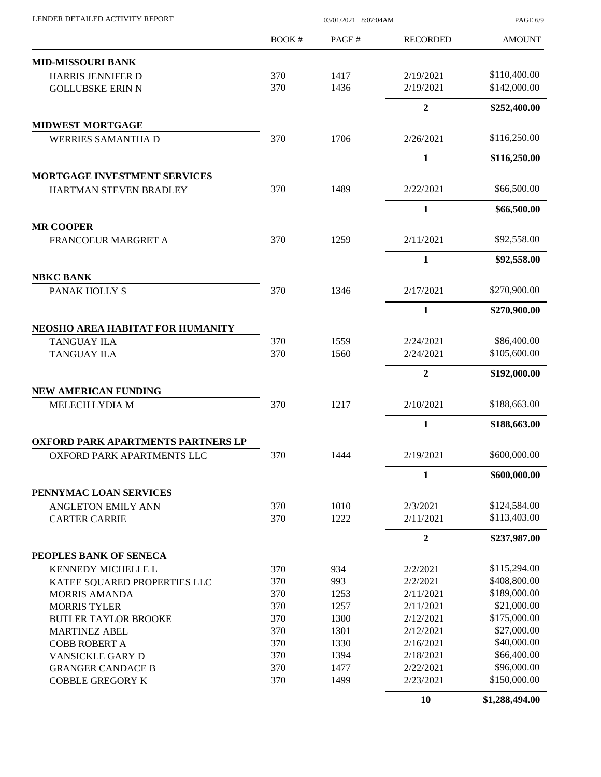| LENDER DETAILED ACTIVITY REPORT                     | 03/01/2021 8:07:04AM |              |                        | PAGE 6/9                     |  |
|-----------------------------------------------------|----------------------|--------------|------------------------|------------------------------|--|
|                                                     | <b>BOOK#</b>         | PAGE#        | <b>RECORDED</b>        | <b>AMOUNT</b>                |  |
| <b>MID-MISSOURI BANK</b>                            |                      |              |                        |                              |  |
| HARRIS JENNIFER D                                   | 370                  | 1417         | 2/19/2021              | \$110,400.00                 |  |
| <b>GOLLUBSKE ERIN N</b>                             | 370                  | 1436         | 2/19/2021              | \$142,000.00                 |  |
|                                                     |                      |              | $\overline{2}$         | \$252,400.00                 |  |
| <b>MIDWEST MORTGAGE</b>                             |                      |              |                        |                              |  |
| <b>WERRIES SAMANTHA D</b>                           | 370                  | 1706         | 2/26/2021              | \$116,250.00                 |  |
|                                                     |                      |              | $\mathbf{1}$           | \$116,250.00                 |  |
| MORTGAGE INVESTMENT SERVICES                        |                      |              |                        |                              |  |
| HARTMAN STEVEN BRADLEY                              | 370                  | 1489         | 2/22/2021              | \$66,500.00                  |  |
|                                                     |                      |              | $\mathbf{1}$           | \$66,500.00                  |  |
| <b>MR COOPER</b><br><b>FRANCOEUR MARGRET A</b>      | 370                  | 1259         | 2/11/2021              | \$92,558.00                  |  |
|                                                     |                      |              | $\mathbf{1}$           |                              |  |
| <b>NBKC BANK</b>                                    |                      |              |                        | \$92,558.00                  |  |
| PANAK HOLLY S                                       | 370                  | 1346         | 2/17/2021              | \$270,900.00                 |  |
|                                                     |                      |              | $\mathbf{1}$           | \$270,900.00                 |  |
| NEOSHO AREA HABITAT FOR HUMANITY                    |                      |              |                        |                              |  |
| <b>TANGUAY ILA</b>                                  | 370                  | 1559         | 2/24/2021              | \$86,400.00                  |  |
| <b>TANGUAY ILA</b>                                  | 370                  | 1560         | 2/24/2021              | \$105,600.00                 |  |
|                                                     |                      |              | $\mathbf{2}$           | \$192,000.00                 |  |
| NEW AMERICAN FUNDING                                |                      |              |                        |                              |  |
| MELECH LYDIA M                                      | 370                  | 1217         | 2/10/2021              | \$188,663.00                 |  |
|                                                     |                      |              | $\mathbf{1}$           | \$188,663.00                 |  |
| <b>OXFORD PARK APARTMENTS PARTNERS LP</b>           |                      |              |                        |                              |  |
| OXFORD PARK APARTMENTS LLC                          | 370                  | 1444         | 2/19/2021              | \$600,000.00                 |  |
|                                                     |                      |              | $\mathbf{1}$           | \$600,000.00                 |  |
| PENNYMAC LOAN SERVICES                              |                      |              |                        |                              |  |
| ANGLETON EMILY ANN                                  | 370<br>370           | 1010<br>1222 | 2/3/2021<br>2/11/2021  | \$124,584.00<br>\$113,403.00 |  |
| <b>CARTER CARRIE</b>                                |                      |              |                        |                              |  |
|                                                     |                      |              | $\overline{2}$         | \$237,987.00                 |  |
| PEOPLES BANK OF SENECA                              |                      |              |                        |                              |  |
| KENNEDY MICHELLE L                                  | 370<br>370           | 934<br>993   | 2/2/2021<br>2/2/2021   | \$115,294.00<br>\$408,800.00 |  |
| KATEE SQUARED PROPERTIES LLC                        | 370                  |              | 2/11/2021              | \$189,000.00                 |  |
| <b>MORRIS AMANDA</b>                                | 370                  | 1253<br>1257 |                        | \$21,000.00                  |  |
| <b>MORRIS TYLER</b>                                 |                      |              | 2/11/2021              | \$175,000.00                 |  |
| <b>BUTLER TAYLOR BROOKE</b>                         | 370                  | 1300         | 2/12/2021              | \$27,000.00                  |  |
| <b>MARTINEZ ABEL</b>                                | 370<br>370           | 1301         | 2/12/2021              | \$40,000.00                  |  |
| <b>COBB ROBERT A</b>                                |                      | 1330         | 2/16/2021              | \$66,400.00                  |  |
| VANSICKLE GARY D                                    | 370                  | 1394         | 2/18/2021              |                              |  |
| <b>GRANGER CANDACE B</b><br><b>COBBLE GREGORY K</b> | 370<br>370           | 1477<br>1499 | 2/22/2021<br>2/23/2021 | \$96,000.00<br>\$150,000.00  |  |
|                                                     |                      |              | 10                     | \$1,288,494.00               |  |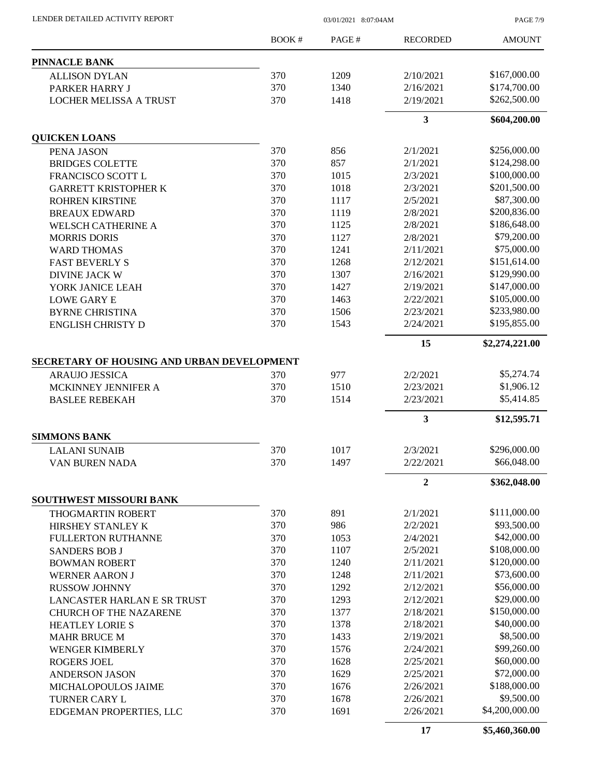|                                            | <b>BOOK#</b> | PAGE# | <b>RECORDED</b> | <b>AMOUNT</b>  |
|--------------------------------------------|--------------|-------|-----------------|----------------|
| PINNACLE BANK                              |              |       |                 |                |
| <b>ALLISON DYLAN</b>                       | 370          | 1209  | 2/10/2021       | \$167,000.00   |
| PARKER HARRY J                             | 370          | 1340  | 2/16/2021       | \$174,700.00   |
| <b>LOCHER MELISSA A TRUST</b>              | 370          | 1418  | 2/19/2021       | \$262,500.00   |
|                                            |              |       | 3               | \$604,200.00   |
| <b>QUICKEN LOANS</b>                       |              |       |                 |                |
| PENA JASON                                 | 370          | 856   | 2/1/2021        | \$256,000.00   |
| <b>BRIDGES COLETTE</b>                     | 370          | 857   | 2/1/2021        | \$124,298.00   |
| FRANCISCO SCOTT L                          | 370          | 1015  | 2/3/2021        | \$100,000.00   |
| <b>GARRETT KRISTOPHER K</b>                | 370          | 1018  | 2/3/2021        | \$201,500.00   |
| <b>ROHREN KIRSTINE</b>                     | 370          | 1117  | 2/5/2021        | \$87,300.00    |
| <b>BREAUX EDWARD</b>                       | 370          | 1119  | 2/8/2021        | \$200,836.00   |
| <b>WELSCH CATHERINE A</b>                  | 370          | 1125  | 2/8/2021        | \$186,648.00   |
| <b>MORRIS DORIS</b>                        | 370          | 1127  | 2/8/2021        | \$79,200.00    |
| <b>WARD THOMAS</b>                         | 370          | 1241  | 2/11/2021       | \$75,000.00    |
| <b>FAST BEVERLY S</b>                      | 370          | 1268  | 2/12/2021       | \$151,614.00   |
| <b>DIVINE JACK W</b>                       | 370          | 1307  | 2/16/2021       | \$129,990.00   |
| YORK JANICE LEAH                           | 370          | 1427  | 2/19/2021       | \$147,000.00   |
| <b>LOWE GARY E</b>                         | 370          | 1463  | 2/22/2021       | \$105,000.00   |
| <b>BYRNE CHRISTINA</b>                     | 370          | 1506  | 2/23/2021       | \$233,980.00   |
| <b>ENGLISH CHRISTY D</b>                   | 370          | 1543  | 2/24/2021       | \$195,855.00   |
|                                            |              |       | 15              | \$2,274,221.00 |
| SECRETARY OF HOUSING AND URBAN DEVELOPMENT |              |       |                 |                |
| <b>ARAUJO JESSICA</b>                      | 370          | 977   | 2/2/2021        | \$5,274.74     |
| MCKINNEY JENNIFER A                        | 370          | 1510  | 2/23/2021       | \$1,906.12     |
| <b>BASLEE REBEKAH</b>                      | 370          | 1514  | 2/23/2021       | \$5,414.85     |
|                                            |              |       | 3               | \$12,595.71    |
| <b>SIMMONS BANK</b>                        |              |       |                 |                |
| <b>LALANI SUNAIB</b>                       | 370          | 1017  | 2/3/2021        | \$296,000.00   |
| VAN BUREN NADA                             | 370          | 1497  | 2/22/2021       | \$66,048.00    |
|                                            |              |       | $\overline{2}$  | \$362,048.00   |
| <b>SOUTHWEST MISSOURI BANK</b>             |              |       |                 |                |
| <b>THOGMARTIN ROBERT</b>                   | 370          | 891   | 2/1/2021        | \$111,000.00   |
| HIRSHEY STANLEY K                          | 370          | 986   | 2/2/2021        | \$93,500.00    |
| <b>FULLERTON RUTHANNE</b>                  | 370          | 1053  | 2/4/2021        | \$42,000.00    |
| <b>SANDERS BOB J</b>                       | 370          | 1107  | 2/5/2021        | \$108,000.00   |
| <b>BOWMAN ROBERT</b>                       | 370          | 1240  | 2/11/2021       | \$120,000.00   |
| <b>WERNER AARON J</b>                      | 370          | 1248  | 2/11/2021       | \$73,600.00    |
| <b>RUSSOW JOHNNY</b>                       | 370          | 1292  | 2/12/2021       | \$56,000.00    |
| LANCASTER HARLAN E SR TRUST                | 370          | 1293  | 2/12/2021       | \$29,000.00    |
| <b>CHURCH OF THE NAZARENE</b>              | 370          | 1377  | 2/18/2021       | \$150,000.00   |
| <b>HEATLEY LORIE S</b>                     | 370          | 1378  | 2/18/2021       | \$40,000.00    |
| <b>MAHR BRUCE M</b>                        | 370          | 1433  | 2/19/2021       | \$8,500.00     |
| <b>WENGER KIMBERLY</b>                     | 370          | 1576  | 2/24/2021       | \$99,260.00    |
| <b>ROGERS JOEL</b>                         | 370          | 1628  | 2/25/2021       | \$60,000.00    |
| <b>ANDERSON JASON</b>                      | 370          | 1629  | 2/25/2021       | \$72,000.00    |
| MICHALOPOULOS JAIME                        | 370          | 1676  | 2/26/2021       | \$188,000.00   |
| TURNER CARY L                              | 370          | 1678  | 2/26/2021       | \$9,500.00     |
| EDGEMAN PROPERTIES, LLC                    | 370          | 1691  | 2/26/2021       | \$4,200,000.00 |

LENDER DETAILED ACTIVITY REPORT 03/01/2021 8:07:04AM

**17 \$5,460,360.00**

PAGE 7/9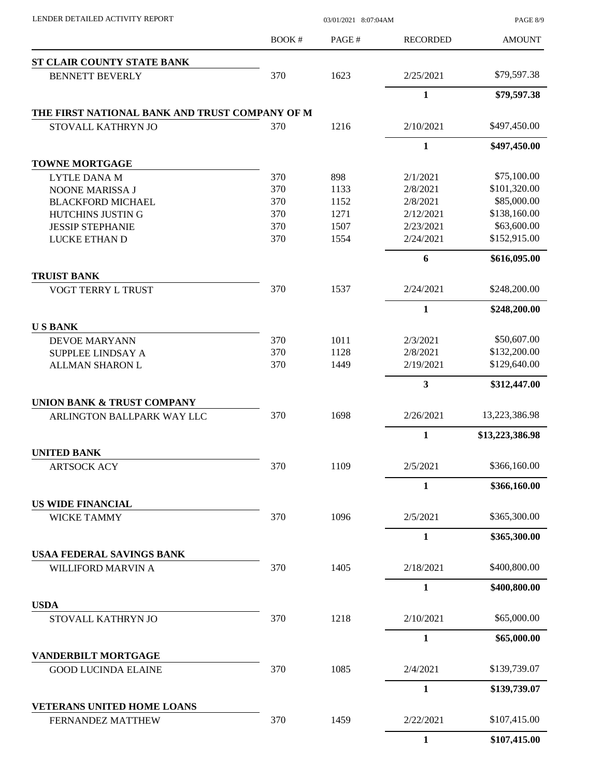| LENDER DETAILED ACTIVITY REPORT                   |              | 03/01/2021 8:07:04AM |                        | PAGE 8/9                    |  |
|---------------------------------------------------|--------------|----------------------|------------------------|-----------------------------|--|
|                                                   | <b>BOOK#</b> | PAGE#                | <b>RECORDED</b>        | <b>AMOUNT</b>               |  |
| ST CLAIR COUNTY STATE BANK                        |              |                      |                        |                             |  |
| <b>BENNETT BEVERLY</b>                            | 370          | 1623                 | 2/25/2021              | \$79,597.38                 |  |
|                                                   |              |                      | $\mathbf{1}$           | \$79,597.38                 |  |
| THE FIRST NATIONAL BANK AND TRUST COMPANY OF M    |              |                      |                        |                             |  |
| STOVALL KATHRYN JO                                | 370          | 1216                 | 2/10/2021              | \$497,450.00                |  |
|                                                   |              |                      | $\mathbf{1}$           | \$497,450.00                |  |
| <b>TOWNE MORTGAGE</b>                             |              |                      |                        |                             |  |
| <b>LYTLE DANA M</b>                               | 370          | 898                  | 2/1/2021               | \$75,100.00                 |  |
| NOONE MARISSA J                                   | 370          | 1133                 | 2/8/2021               | \$101,320.00                |  |
| <b>BLACKFORD MICHAEL</b>                          | 370          | 1152                 | 2/8/2021               | \$85,000.00                 |  |
| HUTCHINS JUSTIN G                                 | 370          | 1271                 | 2/12/2021              | \$138,160.00<br>\$63,600.00 |  |
| <b>JESSIP STEPHANIE</b><br><b>LUCKE ETHAN D</b>   | 370<br>370   | 1507<br>1554         | 2/23/2021<br>2/24/2021 | \$152,915.00                |  |
|                                                   |              |                      |                        |                             |  |
| <b>TRUIST BANK</b>                                |              |                      | 6                      | \$616,095.00                |  |
| <b>VOGT TERRY L TRUST</b>                         | 370          | 1537                 | 2/24/2021              | \$248,200.00                |  |
|                                                   |              |                      | $\mathbf{1}$           | \$248,200.00                |  |
| <b>USBANK</b>                                     |              |                      |                        |                             |  |
| <b>DEVOE MARYANN</b>                              | 370          | 1011                 | 2/3/2021               | \$50,607.00                 |  |
| SUPPLEE LINDSAY A                                 | 370          | 1128                 | 2/8/2021               | \$132,200.00                |  |
| ALLMAN SHARON L                                   | 370          | 1449                 | 2/19/2021              | \$129,640.00                |  |
|                                                   |              |                      | 3                      | \$312,447.00                |  |
| <b>UNION BANK &amp; TRUST COMPANY</b>             |              |                      |                        |                             |  |
| ARLINGTON BALLPARK WAY LLC                        | 370          | 1698                 | 2/26/2021              | 13,223,386.98               |  |
|                                                   |              |                      | $\mathbf{1}$           | \$13,223,386.98             |  |
| <b>UNITED BANK</b>                                |              |                      |                        |                             |  |
| <b>ARTSOCK ACY</b>                                | 370          | 1109                 | 2/5/2021               | \$366,160.00                |  |
|                                                   |              |                      | $\mathbf{1}$           | \$366,160.00                |  |
| <b>US WIDE FINANCIAL</b><br><b>WICKE TAMMY</b>    | 370          | 1096                 | 2/5/2021               | \$365,300.00                |  |
|                                                   |              |                      | $\mathbf{1}$           | \$365,300.00                |  |
| <b>USAA FEDERAL SAVINGS BANK</b>                  |              |                      |                        |                             |  |
| WILLIFORD MARVIN A                                | 370          | 1405                 | 2/18/2021              | \$400,800.00                |  |
|                                                   |              |                      | $\mathbf{1}$           | \$400,800.00                |  |
| <b>USDA</b>                                       |              |                      |                        |                             |  |
| STOVALL KATHRYN JO                                | 370          | 1218                 | 2/10/2021              | \$65,000.00                 |  |
|                                                   |              |                      | $\mathbf{1}$           | \$65,000.00                 |  |
| VANDERBILT MORTGAGE<br><b>GOOD LUCINDA ELAINE</b> | 370          | 1085                 | 2/4/2021               | \$139,739.07                |  |
|                                                   |              |                      | $\mathbf{1}$           | \$139,739.07                |  |
| <b>VETERANS UNITED HOME LOANS</b>                 |              |                      |                        |                             |  |
| FERNANDEZ MATTHEW                                 | 370          | 1459                 | 2/22/2021              | \$107,415.00                |  |
|                                                   |              |                      | 1                      | \$107,415.00                |  |